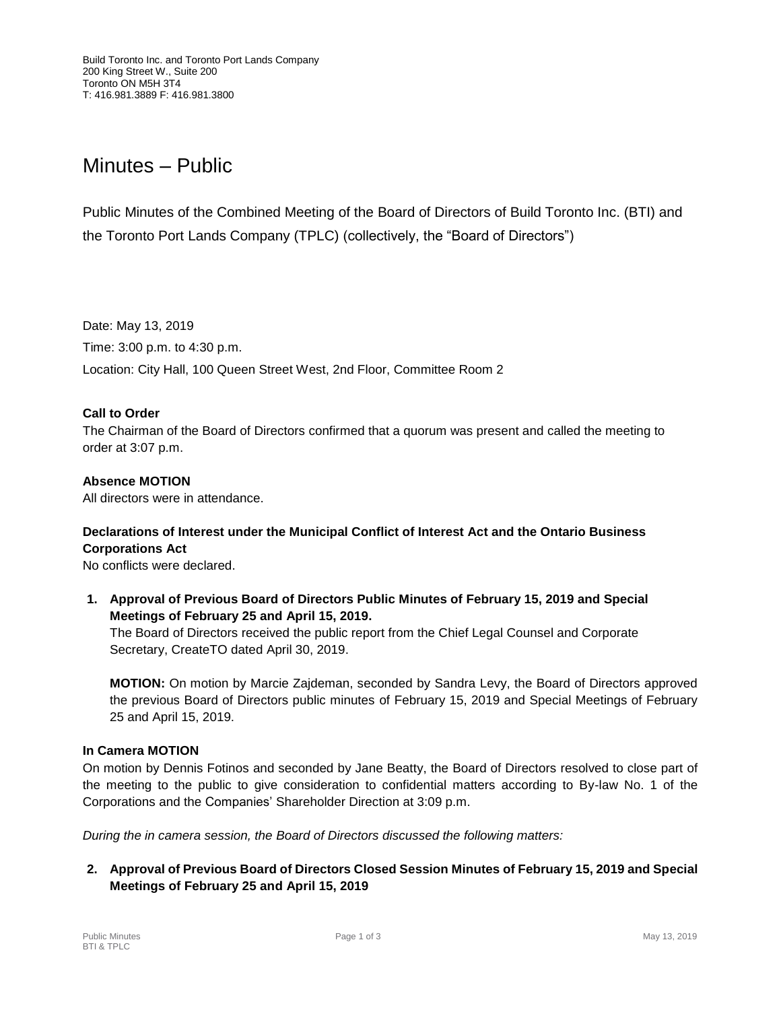# Minutes – Public

Public Minutes of the Combined Meeting of the Board of Directors of Build Toronto Inc. (BTI) and the Toronto Port Lands Company (TPLC) (collectively, the "Board of Directors")

Date: May 13, 2019 Time: 3:00 p.m. to 4:30 p.m. Location: City Hall, 100 Queen Street West, 2nd Floor, Committee Room 2

## **Call to Order**

The Chairman of the Board of Directors confirmed that a quorum was present and called the meeting to order at 3:07 p.m.

# **Absence MOTION**

All directors were in attendance.

# **Declarations of Interest under the Municipal Conflict of Interest Act and the Ontario Business Corporations Act**

No conflicts were declared.

**1. Approval of Previous Board of Directors Public Minutes of February 15, 2019 and Special Meetings of February 25 and April 15, 2019.**

The Board of Directors received the public report from the Chief Legal Counsel and Corporate Secretary, CreateTO dated April 30, 2019.

**MOTION:** On motion by Marcie Zajdeman, seconded by Sandra Levy, the Board of Directors approved the previous Board of Directors public minutes of February 15, 2019 and Special Meetings of February 25 and April 15, 2019.

## **In Camera MOTION**

On motion by Dennis Fotinos and seconded by Jane Beatty, the Board of Directors resolved to close part of the meeting to the public to give consideration to confidential matters according to By-law No. 1 of the Corporations and the Companies' Shareholder Direction at 3:09 p.m.

*During the in camera session, the Board of Directors discussed the following matters:*

**2. Approval of Previous Board of Directors Closed Session Minutes of February 15, 2019 and Special Meetings of February 25 and April 15, 2019**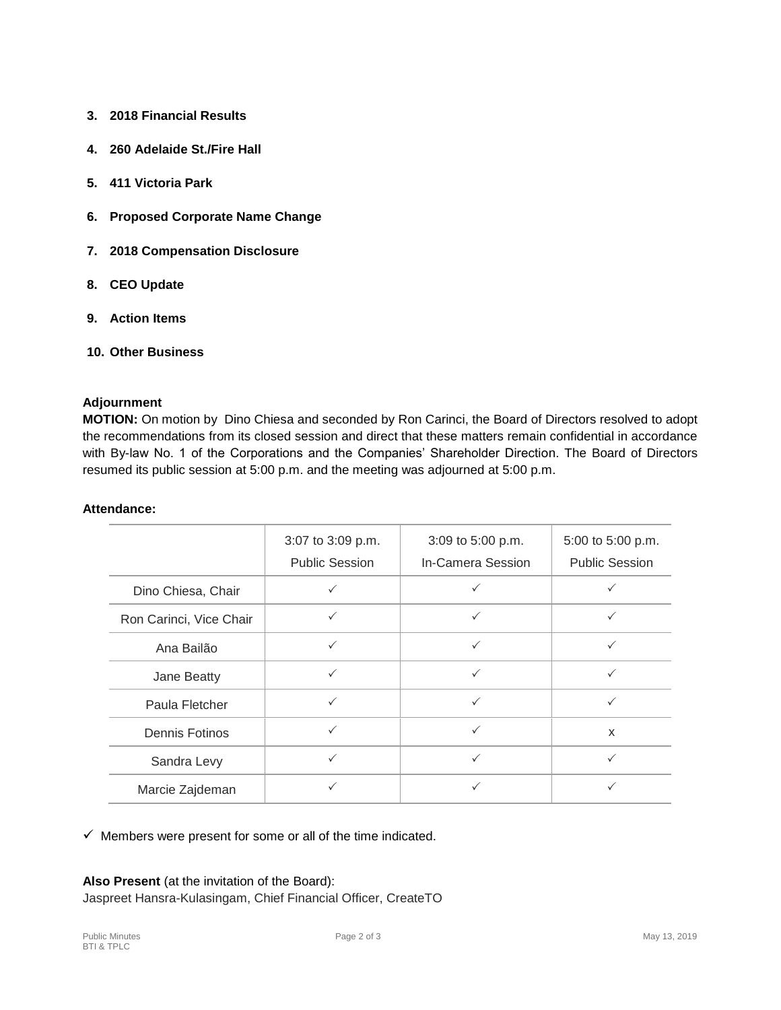- **3. 2018 Financial Results**
- **4. 260 Adelaide St./Fire Hall**
- **5. 411 Victoria Park**
- **6. Proposed Corporate Name Change**
- **7. 2018 Compensation Disclosure**
- **8. CEO Update**
- **9. Action Items**
- **10. Other Business**

#### **Adjournment**

**MOTION:** On motion by Dino Chiesa and seconded by Ron Carinci, the Board of Directors resolved to adopt the recommendations from its closed session and direct that these matters remain confidential in accordance with By-law No. 1 of the Corporations and the Companies' Shareholder Direction. The Board of Directors resumed its public session at 5:00 p.m. and the meeting was adjourned at 5:00 p.m.

#### **Attendance:**

|                         | 3:07 to 3:09 p.m.<br><b>Public Session</b> | 3:09 to 5:00 p.m.<br>In-Camera Session | 5:00 to 5:00 p.m.<br><b>Public Session</b> |
|-------------------------|--------------------------------------------|----------------------------------------|--------------------------------------------|
| Dino Chiesa, Chair      | $\checkmark$                               |                                        |                                            |
| Ron Carinci, Vice Chair |                                            | $\checkmark$                           |                                            |
| Ana Bailão              | $\checkmark$                               | ✓                                      | $\checkmark$                               |
| Jane Beatty             | ✓                                          | ✓                                      |                                            |
| Paula Fletcher          | $\checkmark$                               | ✓                                      |                                            |
| <b>Dennis Fotinos</b>   | $\checkmark$                               | ✓                                      | $\mathsf{x}$                               |
| Sandra Levy             |                                            | $\checkmark$                           |                                            |
| Marcie Zajdeman         |                                            |                                        |                                            |

 $\checkmark$  Members were present for some or all of the time indicated.

### **Also Present** (at the invitation of the Board):

Jaspreet Hansra-Kulasingam, Chief Financial Officer, CreateTO